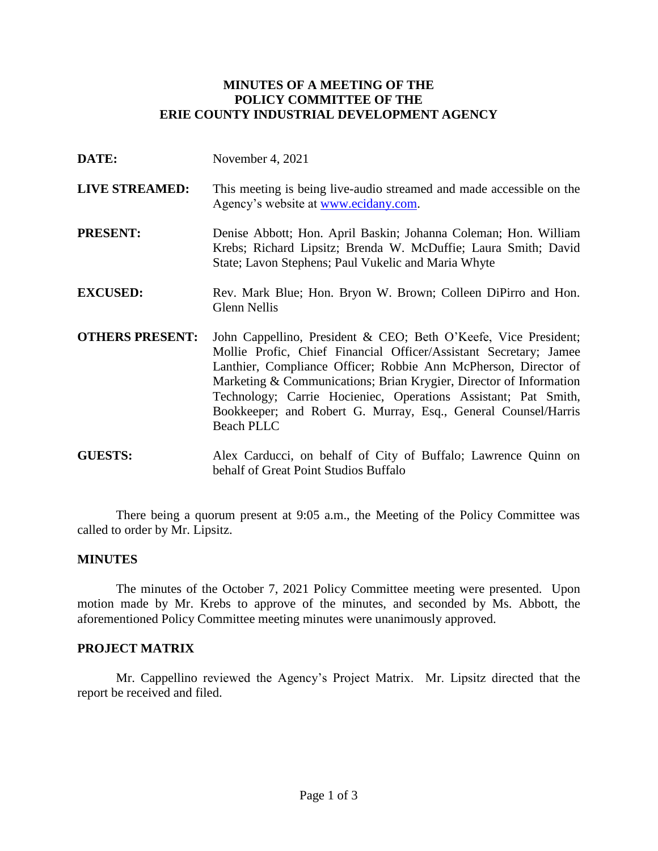# **MINUTES OF A MEETING OF THE POLICY COMMITTEE OF THE ERIE COUNTY INDUSTRIAL DEVELOPMENT AGENCY**

- **DATE:** November 4, 2021
- **LIVE STREAMED:** This meeting is being live-audio streamed and made accessible on the Agency's website at [www.ecidany.com.](http://www.ecidany.com/)
- **PRESENT:** Denise Abbott; Hon. April Baskin; Johanna Coleman; Hon. William Krebs; Richard Lipsitz; Brenda W. McDuffie; Laura Smith; David State; Lavon Stephens; Paul Vukelic and Maria Whyte
- **EXCUSED:** Rev. Mark Blue; Hon. Bryon W. Brown; Colleen DiPirro and Hon. Glenn Nellis
- **OTHERS PRESENT:** John Cappellino, President & CEO; Beth O'Keefe, Vice President; Mollie Profic, Chief Financial Officer/Assistant Secretary; Jamee Lanthier, Compliance Officer; Robbie Ann McPherson, Director of Marketing & Communications; Brian Krygier, Director of Information Technology; Carrie Hocieniec, Operations Assistant; Pat Smith, Bookkeeper; and Robert G. Murray, Esq., General Counsel/Harris Beach PLLC
- **GUESTS:** Alex Carducci, on behalf of City of Buffalo; Lawrence Quinn on behalf of Great Point Studios Buffalo

There being a quorum present at 9:05 a.m., the Meeting of the Policy Committee was called to order by Mr. Lipsitz.

### **MINUTES**

The minutes of the October 7, 2021 Policy Committee meeting were presented. Upon motion made by Mr. Krebs to approve of the minutes, and seconded by Ms. Abbott, the aforementioned Policy Committee meeting minutes were unanimously approved.

### **PROJECT MATRIX**

Mr. Cappellino reviewed the Agency's Project Matrix. Mr. Lipsitz directed that the report be received and filed.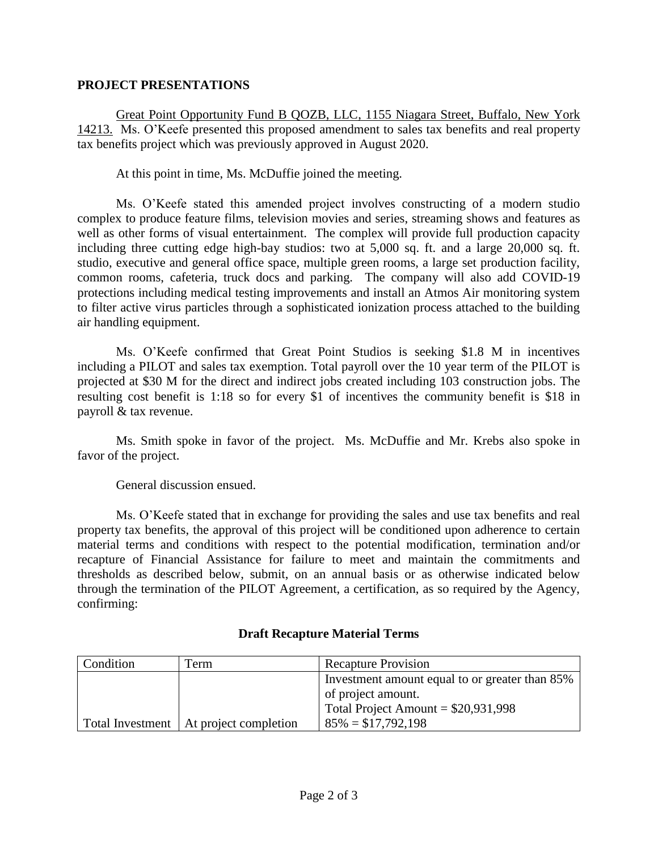### **PROJECT PRESENTATIONS**

Great Point Opportunity Fund B QOZB, LLC, 1155 Niagara Street, Buffalo, New York 14213. Ms. O'Keefe presented this proposed amendment to sales tax benefits and real property tax benefits project which was previously approved in August 2020.

At this point in time, Ms. McDuffie joined the meeting.

Ms. O'Keefe stated this amended project involves constructing of a modern studio complex to produce feature films, television movies and series, streaming shows and features as well as other forms of visual entertainment. The complex will provide full production capacity including three cutting edge high-bay studios: two at 5,000 sq. ft. and a large 20,000 sq. ft. studio, executive and general office space, multiple green rooms, a large set production facility, common rooms, cafeteria, truck docs and parking. The company will also add COVID-19 protections including medical testing improvements and install an Atmos Air monitoring system to filter active virus particles through a sophisticated ionization process attached to the building air handling equipment.

Ms. O'Keefe confirmed that Great Point Studios is seeking \$1.8 M in incentives including a PILOT and sales tax exemption. Total payroll over the 10 year term of the PILOT is projected at \$30 M for the direct and indirect jobs created including 103 construction jobs. The resulting cost benefit is 1:18 so for every \$1 of incentives the community benefit is \$18 in payroll & tax revenue.

Ms. Smith spoke in favor of the project. Ms. McDuffie and Mr. Krebs also spoke in favor of the project.

General discussion ensued.

Ms. O'Keefe stated that in exchange for providing the sales and use tax benefits and real property tax benefits, the approval of this project will be conditioned upon adherence to certain material terms and conditions with respect to the potential modification, termination and/or recapture of Financial Assistance for failure to meet and maintain the commitments and thresholds as described below, submit, on an annual basis or as otherwise indicated below through the termination of the PILOT Agreement, a certification, as so required by the Agency, confirming:

| Condition | Term                                     | <b>Recapture Provision</b>                     |
|-----------|------------------------------------------|------------------------------------------------|
|           |                                          | Investment amount equal to or greater than 85% |
|           |                                          | of project amount.                             |
|           |                                          | Total Project Amount = $$20,931,998$           |
|           | Total Investment   At project completion | $85\% = $17,792,198$                           |

# **Draft Recapture Material Terms**